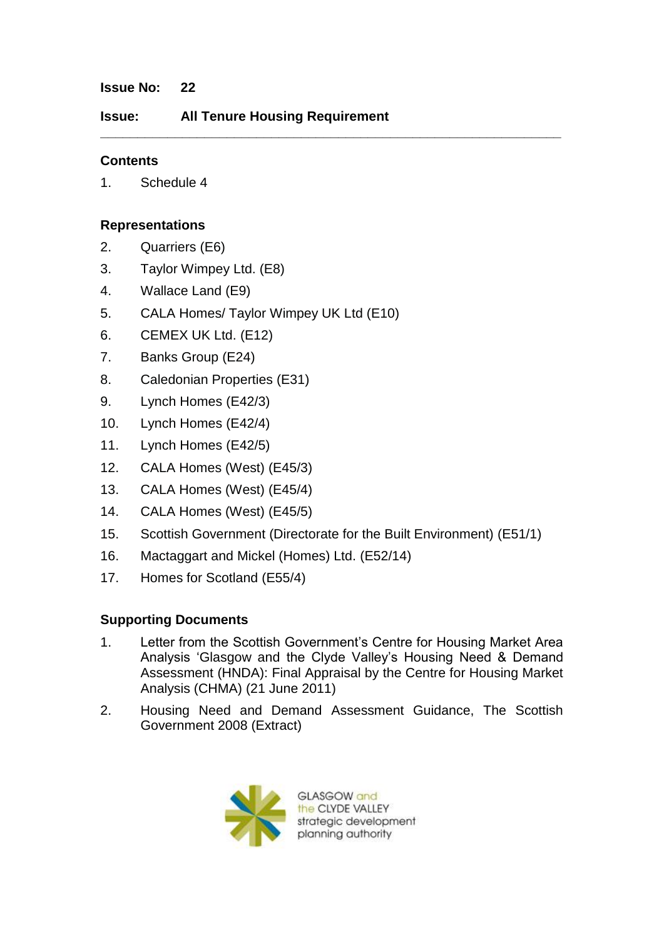#### **Issue No: 22**

**Issue: All Tenure Housing Requirement**

**\_\_\_\_\_\_\_\_\_\_\_\_\_\_\_\_\_\_\_\_\_\_\_\_\_\_\_\_\_\_\_\_\_\_\_\_\_\_\_\_\_\_\_\_\_\_\_\_\_\_\_\_\_\_\_\_\_\_\_\_\_\_**

#### **Contents**

1. Schedule 4

#### **Representations**

- 2. Quarriers (E6)
- 3. Taylor Wimpey Ltd. (E8)
- 4. Wallace Land (E9)
- 5. CALA Homes/ Taylor Wimpey UK Ltd (E10)
- 6. CEMEX UK Ltd. (E12)
- 7. Banks Group (E24)
- 8. Caledonian Properties (E31)
- 9. Lynch Homes (E42/3)
- 10. Lynch Homes (E42/4)
- 11. Lynch Homes (E42/5)
- 12. CALA Homes (West) (E45/3)
- 13. CALA Homes (West) (E45/4)
- 14. CALA Homes (West) (E45/5)
- 15. Scottish Government (Directorate for the Built Environment) (E51/1)
- 16. Mactaggart and Mickel (Homes) Ltd. (E52/14)
- 17. Homes for Scotland (E55/4)

# **Supporting Documents**

- 1. Letter from the Scottish Government"s Centre for Housing Market Area Analysis "Glasgow and the Clyde Valley"s Housing Need & Demand Assessment (HNDA): Final Appraisal by the Centre for Housing Market Analysis (CHMA) (21 June 2011)
- 2. Housing Need and Demand Assessment Guidance, The Scottish Government 2008 (Extract)



**GLASGOW** and the CLYDE VALLEY strategic development planning authority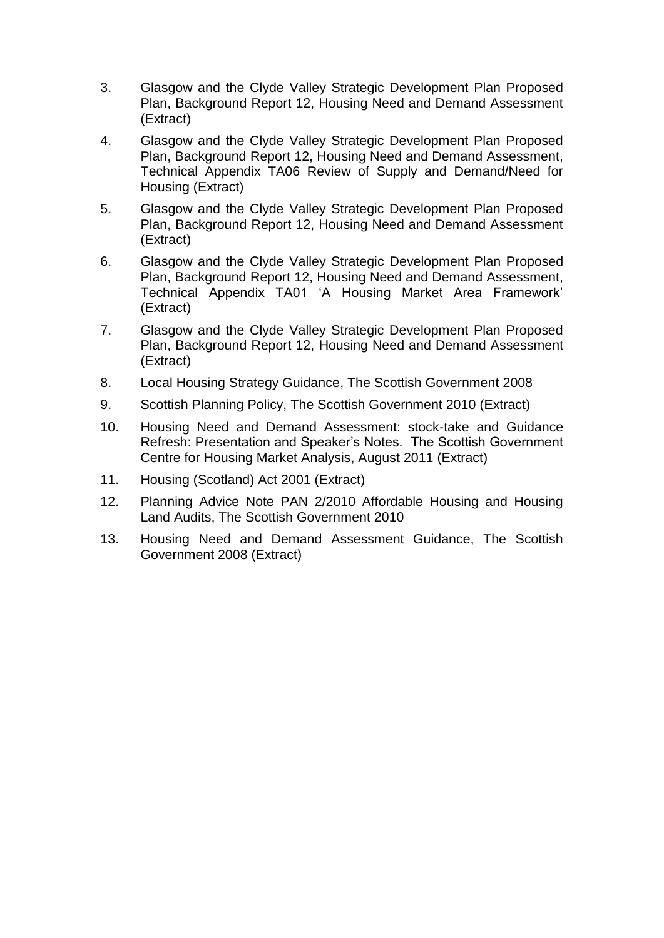- 3. Glasgow and the Clyde Valley Strategic Development Plan Proposed Plan, Background Report 12, Housing Need and Demand Assessment (Extract)
- 4. Glasgow and the Clyde Valley Strategic Development Plan Proposed Plan, Background Report 12, Housing Need and Demand Assessment, Technical Appendix TA06 Review of Supply and Demand/Need for Housing (Extract)
- 5. Glasgow and the Clyde Valley Strategic Development Plan Proposed Plan, Background Report 12, Housing Need and Demand Assessment (Extract)
- 6. Glasgow and the Clyde Valley Strategic Development Plan Proposed Plan, Background Report 12, Housing Need and Demand Assessment, Technical Appendix TA01 "A Housing Market Area Framework" (Extract)
- 7. Glasgow and the Clyde Valley Strategic Development Plan Proposed Plan, Background Report 12, Housing Need and Demand Assessment (Extract)
- 8. Local Housing Strategy Guidance, The Scottish Government 2008
- 9. Scottish Planning Policy, The Scottish Government 2010 (Extract)
- 10. Housing Need and Demand Assessment: stock-take and Guidance Refresh: Presentation and Speaker"s Notes. The Scottish Government Centre for Housing Market Analysis, August 2011 (Extract)
- 11. Housing (Scotland) Act 2001 (Extract)
- 12. Planning Advice Note PAN 2/2010 Affordable Housing and Housing Land Audits, The Scottish Government 2010
- 13. Housing Need and Demand Assessment Guidance, The Scottish Government 2008 (Extract)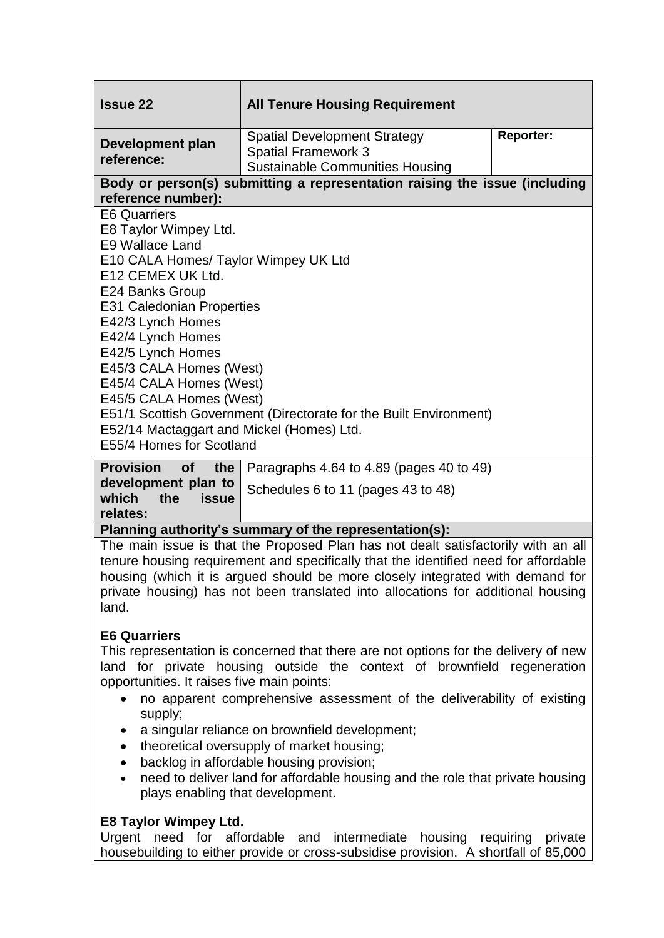| <b>Issue 22</b>                                                                                                                                                                                                                                                                                                                                                                                                                                                                   | <b>All Tenure Housing Requirement</b>                                                                       |                  |  |  |  |  |
|-----------------------------------------------------------------------------------------------------------------------------------------------------------------------------------------------------------------------------------------------------------------------------------------------------------------------------------------------------------------------------------------------------------------------------------------------------------------------------------|-------------------------------------------------------------------------------------------------------------|------------------|--|--|--|--|
| Development plan<br>reference:                                                                                                                                                                                                                                                                                                                                                                                                                                                    | <b>Spatial Development Strategy</b><br><b>Spatial Framework 3</b><br><b>Sustainable Communities Housing</b> | <b>Reporter:</b> |  |  |  |  |
| Body or person(s) submitting a representation raising the issue (including<br>reference number):                                                                                                                                                                                                                                                                                                                                                                                  |                                                                                                             |                  |  |  |  |  |
| <b>E6 Quarriers</b><br>E8 Taylor Wimpey Ltd.<br>E9 Wallace Land<br>E10 CALA Homes/ Taylor Wimpey UK Ltd<br>E12 CEMEX UK Ltd.<br>E24 Banks Group<br><b>E31 Caledonian Properties</b><br>E42/3 Lynch Homes<br>E42/4 Lynch Homes<br>E42/5 Lynch Homes<br>E45/3 CALA Homes (West)<br>E45/4 CALA Homes (West)<br>E45/5 CALA Homes (West)<br>E51/1 Scottish Government (Directorate for the Built Environment)<br>E52/14 Mactaggart and Mickel (Homes) Ltd.<br>E55/4 Homes for Scotland |                                                                                                             |                  |  |  |  |  |
| <b>Provision</b><br><b>of</b><br>the<br>development plan to<br>which<br>the<br>issue<br>relates:                                                                                                                                                                                                                                                                                                                                                                                  | Paragraphs 4.64 to 4.89 (pages 40 to 49)<br>Schedules 6 to 11 (pages 43 to 48)                              |                  |  |  |  |  |

#### **Planning authority's summary of the representation(s):**

The main issue is that the Proposed Plan has not dealt satisfactorily with an all tenure housing requirement and specifically that the identified need for affordable housing (which it is argued should be more closely integrated with demand for private housing) has not been translated into allocations for additional housing land.

# **E6 Quarriers**

This representation is concerned that there are not options for the delivery of new land for private housing outside the context of brownfield regeneration opportunities. It raises five main points:

- no apparent comprehensive assessment of the deliverability of existing supply;
- a singular reliance on brownfield development;
- theoretical oversupply of market housing;
- backlog in affordable housing provision:
- need to deliver land for affordable housing and the role that private housing plays enabling that development.

# **E8 Taylor Wimpey Ltd.**

Urgent need for affordable and intermediate housing requiring private housebuilding to either provide or cross-subsidise provision. A shortfall of 85,000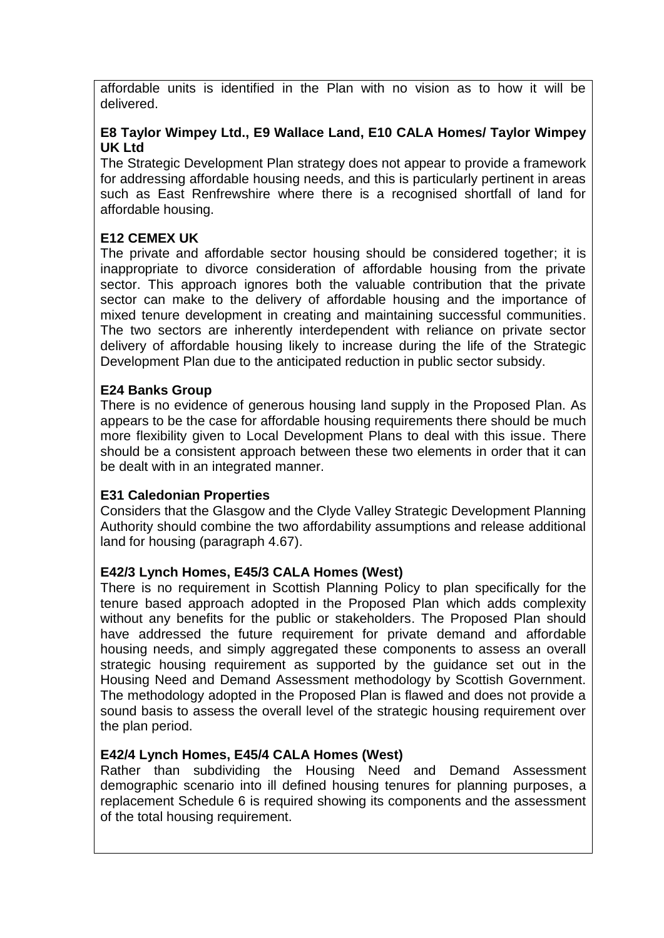affordable units is identified in the Plan with no vision as to how it will be delivered.

# **E8 Taylor Wimpey Ltd., E9 Wallace Land, E10 CALA Homes/ Taylor Wimpey UK Ltd**

The Strategic Development Plan strategy does not appear to provide a framework for addressing affordable housing needs, and this is particularly pertinent in areas such as East Renfrewshire where there is a recognised shortfall of land for affordable housing.

# **E12 CEMEX UK**

The private and affordable sector housing should be considered together; it is inappropriate to divorce consideration of affordable housing from the private sector. This approach ignores both the valuable contribution that the private sector can make to the delivery of affordable housing and the importance of mixed tenure development in creating and maintaining successful communities. The two sectors are inherently interdependent with reliance on private sector delivery of affordable housing likely to increase during the life of the Strategic Development Plan due to the anticipated reduction in public sector subsidy.

# **E24 Banks Group**

There is no evidence of generous housing land supply in the Proposed Plan. As appears to be the case for affordable housing requirements there should be much more flexibility given to Local Development Plans to deal with this issue. There should be a consistent approach between these two elements in order that it can be dealt with in an integrated manner.

# **E31 Caledonian Properties**

Considers that the Glasgow and the Clyde Valley Strategic Development Planning Authority should combine the two affordability assumptions and release additional land for housing (paragraph 4.67).

# **E42/3 Lynch Homes, E45/3 CALA Homes (West)**

There is no requirement in Scottish Planning Policy to plan specifically for the tenure based approach adopted in the Proposed Plan which adds complexity without any benefits for the public or stakeholders. The Proposed Plan should have addressed the future requirement for private demand and affordable housing needs, and simply aggregated these components to assess an overall strategic housing requirement as supported by the guidance set out in the Housing Need and Demand Assessment methodology by Scottish Government. The methodology adopted in the Proposed Plan is flawed and does not provide a sound basis to assess the overall level of the strategic housing requirement over the plan period.

# **E42/4 Lynch Homes, E45/4 CALA Homes (West)**

Rather than subdividing the Housing Need and Demand Assessment demographic scenario into ill defined housing tenures for planning purposes, a replacement Schedule 6 is required showing its components and the assessment of the total housing requirement.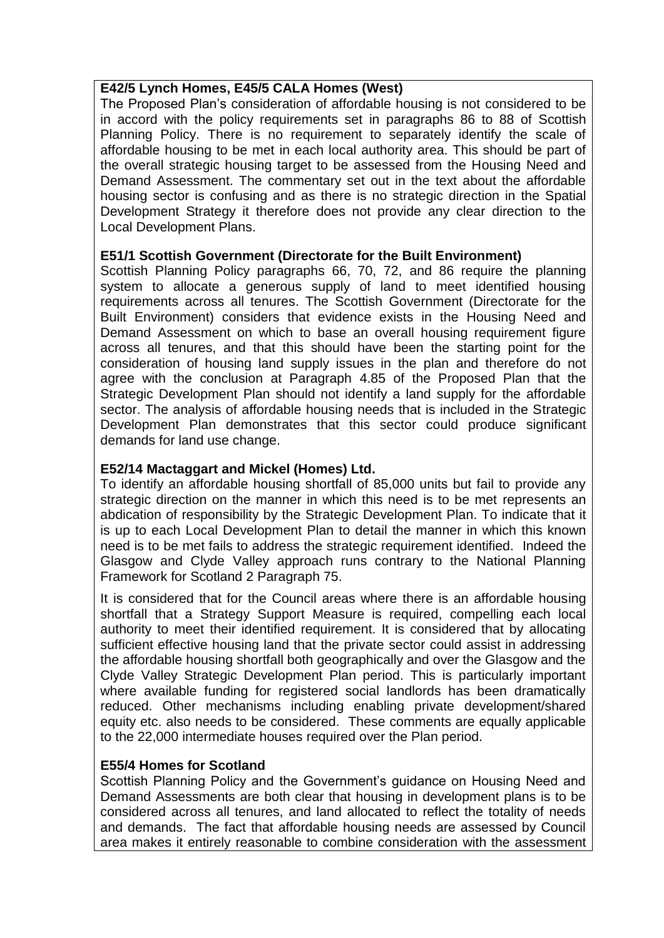#### **E42/5 Lynch Homes, E45/5 CALA Homes (West)**

The Proposed Plan"s consideration of affordable housing is not considered to be in accord with the policy requirements set in paragraphs 86 to 88 of Scottish Planning Policy. There is no requirement to separately identify the scale of affordable housing to be met in each local authority area. This should be part of the overall strategic housing target to be assessed from the Housing Need and Demand Assessment. The commentary set out in the text about the affordable housing sector is confusing and as there is no strategic direction in the Spatial Development Strategy it therefore does not provide any clear direction to the Local Development Plans.

#### **E51/1 Scottish Government (Directorate for the Built Environment)**

Scottish Planning Policy paragraphs 66, 70, 72, and 86 require the planning system to allocate a generous supply of land to meet identified housing requirements across all tenures. The Scottish Government (Directorate for the Built Environment) considers that evidence exists in the Housing Need and Demand Assessment on which to base an overall housing requirement figure across all tenures, and that this should have been the starting point for the consideration of housing land supply issues in the plan and therefore do not agree with the conclusion at Paragraph 4.85 of the Proposed Plan that the Strategic Development Plan should not identify a land supply for the affordable sector. The analysis of affordable housing needs that is included in the Strategic Development Plan demonstrates that this sector could produce significant demands for land use change.

#### **E52/14 Mactaggart and Mickel (Homes) Ltd.**

To identify an affordable housing shortfall of 85,000 units but fail to provide any strategic direction on the manner in which this need is to be met represents an abdication of responsibility by the Strategic Development Plan. To indicate that it is up to each Local Development Plan to detail the manner in which this known need is to be met fails to address the strategic requirement identified. Indeed the Glasgow and Clyde Valley approach runs contrary to the National Planning Framework for Scotland 2 Paragraph 75.

It is considered that for the Council areas where there is an affordable housing shortfall that a Strategy Support Measure is required, compelling each local authority to meet their identified requirement. It is considered that by allocating sufficient effective housing land that the private sector could assist in addressing the affordable housing shortfall both geographically and over the Glasgow and the Clyde Valley Strategic Development Plan period. This is particularly important where available funding for registered social landlords has been dramatically reduced. Other mechanisms including enabling private development/shared equity etc. also needs to be considered. These comments are equally applicable to the 22,000 intermediate houses required over the Plan period.

#### **E55/4 Homes for Scotland**

Scottish Planning Policy and the Government"s guidance on Housing Need and Demand Assessments are both clear that housing in development plans is to be considered across all tenures, and land allocated to reflect the totality of needs and demands. The fact that affordable housing needs are assessed by Council area makes it entirely reasonable to combine consideration with the assessment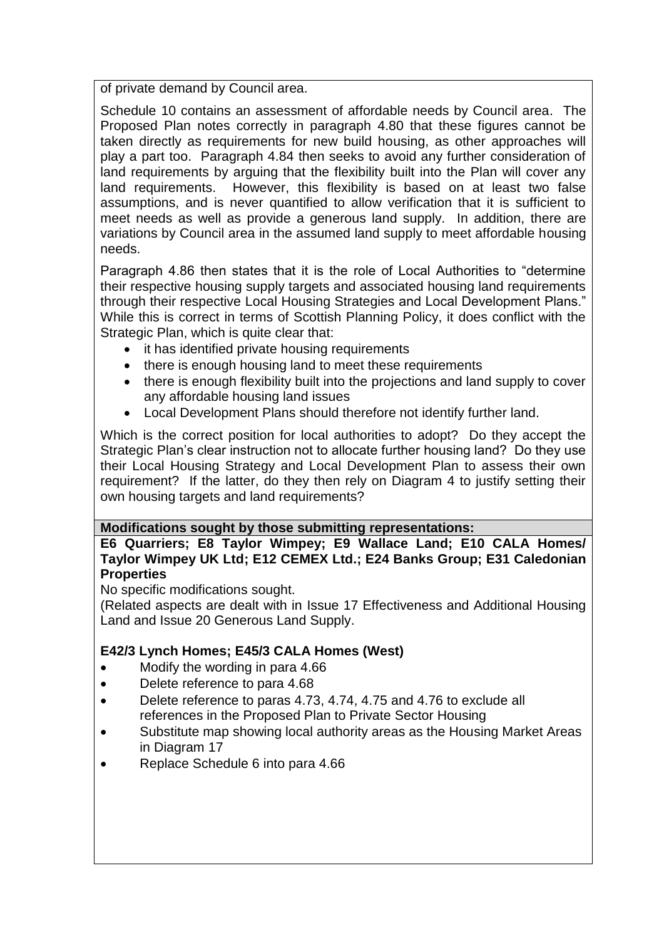of private demand by Council area.

Schedule 10 contains an assessment of affordable needs by Council area. The Proposed Plan notes correctly in paragraph 4.80 that these figures cannot be taken directly as requirements for new build housing, as other approaches will play a part too. Paragraph 4.84 then seeks to avoid any further consideration of land requirements by arguing that the flexibility built into the Plan will cover any land requirements. However, this flexibility is based on at least two false assumptions, and is never quantified to allow verification that it is sufficient to meet needs as well as provide a generous land supply. In addition, there are variations by Council area in the assumed land supply to meet affordable housing needs.

Paragraph 4.86 then states that it is the role of Local Authorities to "determine their respective housing supply targets and associated housing land requirements through their respective Local Housing Strategies and Local Development Plans." While this is correct in terms of Scottish Planning Policy, it does conflict with the Strategic Plan, which is quite clear that:

- it has identified private housing requirements
- there is enough housing land to meet these requirements
- there is enough flexibility built into the projections and land supply to cover any affordable housing land issues
- Local Development Plans should therefore not identify further land.

Which is the correct position for local authorities to adopt? Do they accept the Strategic Plan"s clear instruction not to allocate further housing land? Do they use their Local Housing Strategy and Local Development Plan to assess their own requirement? If the latter, do they then rely on Diagram 4 to justify setting their own housing targets and land requirements?

# **Modifications sought by those submitting representations:**

**E6 Quarriers; E8 Taylor Wimpey; E9 Wallace Land; E10 CALA Homes/ Taylor Wimpey UK Ltd; E12 CEMEX Ltd.; E24 Banks Group; E31 Caledonian Properties**

No specific modifications sought.

(Related aspects are dealt with in Issue 17 Effectiveness and Additional Housing Land and Issue 20 Generous Land Supply.

# **E42/3 Lynch Homes; E45/3 CALA Homes (West)**

- Modify the wording in para 4.66
- Delete reference to para 4.68
- Delete reference to paras 4.73, 4.74, 4.75 and 4.76 to exclude all references in the Proposed Plan to Private Sector Housing
- Substitute map showing local authority areas as the Housing Market Areas in Diagram 17
- Replace Schedule 6 into para 4.66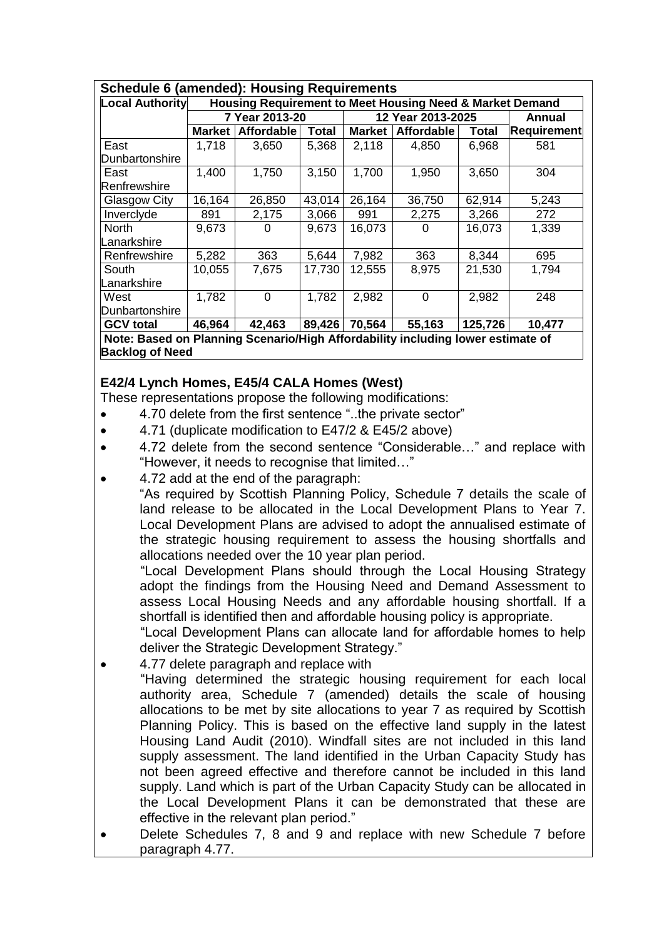| <b>Schedule 6 (amended): Housing Requirements</b>                               |                                                          |             |              |                   |                   |         |                    |
|---------------------------------------------------------------------------------|----------------------------------------------------------|-------------|--------------|-------------------|-------------------|---------|--------------------|
| <b>Local Authority</b>                                                          | Housing Requirement to Meet Housing Need & Market Demand |             |              |                   |                   |         |                    |
|                                                                                 | 7 Year 2013-20                                           |             |              | 12 Year 2013-2025 |                   |         | Annual             |
|                                                                                 | <b>Market</b>                                            | Affordable  | <b>Total</b> | <b>Market</b>     | <b>Affordable</b> | Total   | <b>Requirement</b> |
| East                                                                            | 1,718                                                    | 3,650       | 5,368        | 2,118             | 4,850             | 6,968   | 581                |
| Dunbartonshire                                                                  |                                                          |             |              |                   |                   |         |                    |
| East                                                                            | 1,400                                                    | 1,750       | 3,150        | 1,700             | 1,950             | 3,650   | 304                |
| Renfrewshire                                                                    |                                                          |             |              |                   |                   |         |                    |
| Glasgow City                                                                    | 16,164                                                   | 26,850      | 43,014       | 26,164            | 36,750            | 62,914  | 5,243              |
| Inverclyde                                                                      | 891                                                      | 2,175       | 3,066        | 991               | 2,275             | 3,266   | 272                |
| North                                                                           | 9,673                                                    | 0           | 9,673        | 16,073            | 0                 | 16,073  | 1,339              |
| Lanarkshire                                                                     |                                                          |             |              |                   |                   |         |                    |
| Renfrewshire                                                                    | 5,282                                                    | 363         | 5,644        | 7,982             | 363               | 8,344   | 695                |
| South                                                                           | 10,055                                                   | 7,675       | 17,730       | 12,555            | 8,975             | 21,530  | 1,794              |
| Lanarkshire                                                                     |                                                          |             |              |                   |                   |         |                    |
| West                                                                            | 1,782                                                    | $\mathbf 0$ | 1,782        | 2,982             | 0                 | 2,982   | 248                |
| Dunbartonshire                                                                  |                                                          |             |              |                   |                   |         |                    |
| <b>GCV total</b>                                                                | 46,964                                                   | 42,463      | 89,426       | 70,564            | 55,163            | 125,726 | 10,477             |
| Note: Based on Planning Scenario/High Affordability including lower estimate of |                                                          |             |              |                   |                   |         |                    |
| <b>Backlog of Need</b>                                                          |                                                          |             |              |                   |                   |         |                    |

# **E42/4 Lynch Homes, E45/4 CALA Homes (West)**

These representations propose the following modifications:

- 4.70 delete from the first sentence "..the private sector"
- 4.71 (duplicate modification to E47/2 & E45/2 above)
- 4.72 delete from the second sentence "Considerable…" and replace with "However, it needs to recognise that limited…"
- 4.72 add at the end of the paragraph:

"As required by Scottish Planning Policy, Schedule 7 details the scale of land release to be allocated in the Local Development Plans to Year 7. Local Development Plans are advised to adopt the annualised estimate of the strategic housing requirement to assess the housing shortfalls and allocations needed over the 10 year plan period.

"Local Development Plans should through the Local Housing Strategy adopt the findings from the Housing Need and Demand Assessment to assess Local Housing Needs and any affordable housing shortfall. If a shortfall is identified then and affordable housing policy is appropriate.

"Local Development Plans can allocate land for affordable homes to help deliver the Strategic Development Strategy."

- 4.77 delete paragraph and replace with
	- "Having determined the strategic housing requirement for each local authority area, Schedule 7 (amended) details the scale of housing allocations to be met by site allocations to year 7 as required by Scottish Planning Policy. This is based on the effective land supply in the latest Housing Land Audit (2010). Windfall sites are not included in this land supply assessment. The land identified in the Urban Capacity Study has not been agreed effective and therefore cannot be included in this land supply. Land which is part of the Urban Capacity Study can be allocated in the Local Development Plans it can be demonstrated that these are effective in the relevant plan period."
- Delete Schedules 7, 8 and 9 and replace with new Schedule 7 before paragraph 4.77.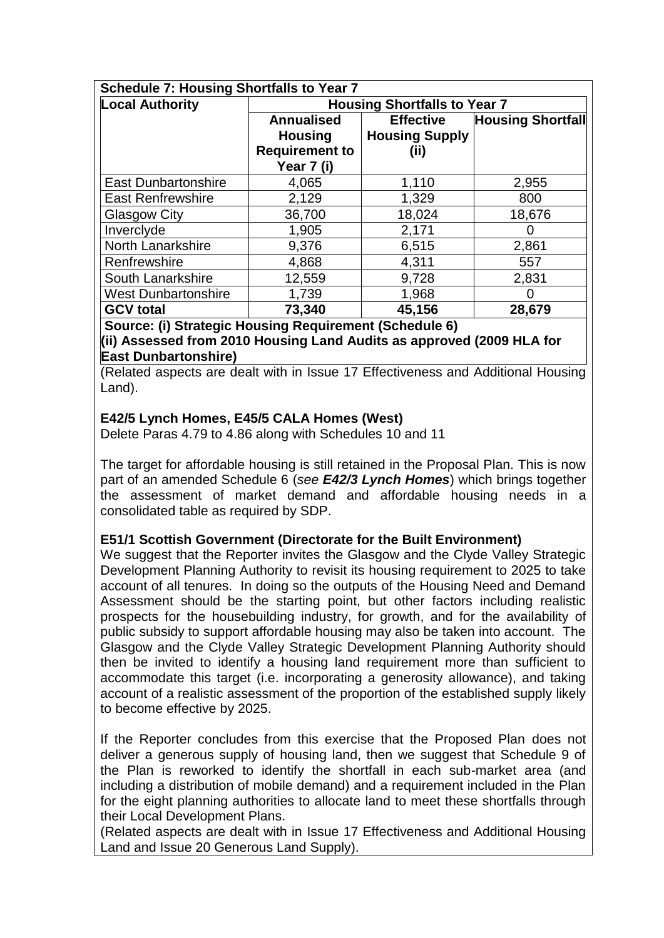| <b>Schedule 7: Housing Shortfalls to Year 7</b> |                                                                            |                                                   |                          |  |  |  |  |
|-------------------------------------------------|----------------------------------------------------------------------------|---------------------------------------------------|--------------------------|--|--|--|--|
| <b>Local Authority</b>                          | <b>Housing Shortfalls to Year 7</b>                                        |                                                   |                          |  |  |  |  |
|                                                 | <b>Annualised</b><br><b>Housing</b><br><b>Requirement to</b><br>Year 7 (i) | <b>Effective</b><br><b>Housing Supply</b><br>(ii) | <b>Housing Shortfall</b> |  |  |  |  |
| <b>East Dunbartonshire</b>                      | 4,065                                                                      | 1,110                                             | 2,955                    |  |  |  |  |
| <b>East Renfrewshire</b>                        | 2,129                                                                      | 1,329                                             | 800                      |  |  |  |  |
| <b>Glasgow City</b>                             | 36,700                                                                     | 18,024                                            | 18,676                   |  |  |  |  |
| Inverclyde                                      | 1,905                                                                      | 2,171                                             |                          |  |  |  |  |
| North Lanarkshire                               | 9,376                                                                      | 6,515                                             | 2,861                    |  |  |  |  |
| Renfrewshire                                    | 4,868                                                                      | 4,311                                             | 557                      |  |  |  |  |
| South Lanarkshire                               | 12,559                                                                     | 9,728                                             | 2,831                    |  |  |  |  |
| <b>West Dunbartonshire</b>                      | 1,739                                                                      | 1,968                                             |                          |  |  |  |  |
| <b>GCV total</b>                                | 73,340                                                                     | 45,156                                            | 28,679                   |  |  |  |  |

#### **Source: (i) Strategic Housing Requirement (Schedule 6) (ii) Assessed from 2010 Housing Land Audits as approved (2009 HLA for East Dunbartonshire)**

(Related aspects are dealt with in Issue 17 Effectiveness and Additional Housing Land).

# **E42/5 Lynch Homes, E45/5 CALA Homes (West)**

Delete Paras 4.79 to 4.86 along with Schedules 10 and 11

The target for affordable housing is still retained in the Proposal Plan. This is now part of an amended Schedule 6 (*see E42/3 Lynch Homes*) which brings together the assessment of market demand and affordable housing needs in a consolidated table as required by SDP.

# **E51/1 Scottish Government (Directorate for the Built Environment)**

We suggest that the Reporter invites the Glasgow and the Clyde Valley Strategic Development Planning Authority to revisit its housing requirement to 2025 to take account of all tenures. In doing so the outputs of the Housing Need and Demand Assessment should be the starting point, but other factors including realistic prospects for the housebuilding industry, for growth, and for the availability of public subsidy to support affordable housing may also be taken into account. The Glasgow and the Clyde Valley Strategic Development Planning Authority should then be invited to identify a housing land requirement more than sufficient to accommodate this target (i.e. incorporating a generosity allowance), and taking account of a realistic assessment of the proportion of the established supply likely to become effective by 2025.

If the Reporter concludes from this exercise that the Proposed Plan does not deliver a generous supply of housing land, then we suggest that Schedule 9 of the Plan is reworked to identify the shortfall in each sub-market area (and including a distribution of mobile demand) and a requirement included in the Plan for the eight planning authorities to allocate land to meet these shortfalls through their Local Development Plans.

(Related aspects are dealt with in Issue 17 Effectiveness and Additional Housing Land and Issue 20 Generous Land Supply).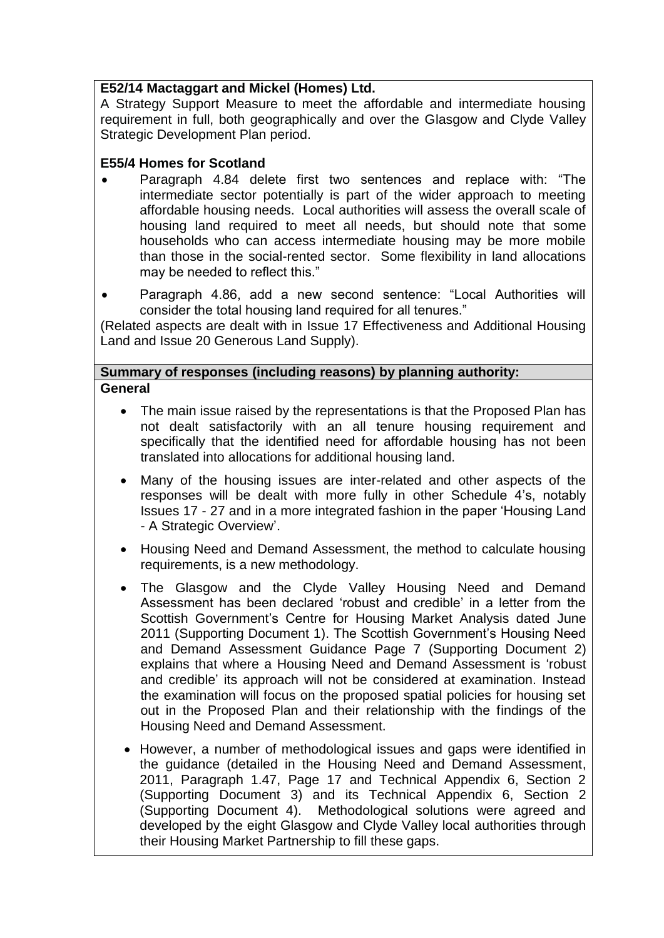# **E52/14 Mactaggart and Mickel (Homes) Ltd.**

A Strategy Support Measure to meet the affordable and intermediate housing requirement in full, both geographically and over the Glasgow and Clyde Valley Strategic Development Plan period.

# **E55/4 Homes for Scotland**

- Paragraph 4.84 delete first two sentences and replace with: "The intermediate sector potentially is part of the wider approach to meeting affordable housing needs. Local authorities will assess the overall scale of housing land required to meet all needs, but should note that some households who can access intermediate housing may be more mobile than those in the social-rented sector. Some flexibility in land allocations may be needed to reflect this."
- Paragraph 4.86, add a new second sentence: "Local Authorities will consider the total housing land required for all tenures."

(Related aspects are dealt with in Issue 17 Effectiveness and Additional Housing Land and Issue 20 Generous Land Supply).

#### **Summary of responses (including reasons) by planning authority: General**

- The main issue raised by the representations is that the Proposed Plan has not dealt satisfactorily with an all tenure housing requirement and specifically that the identified need for affordable housing has not been translated into allocations for additional housing land.
- Many of the housing issues are inter-related and other aspects of the responses will be dealt with more fully in other Schedule 4"s, notably Issues 17 - 27 and in a more integrated fashion in the paper "Housing Land - A Strategic Overview".
- Housing Need and Demand Assessment, the method to calculate housing requirements, is a new methodology.
- The Glasgow and the Clyde Valley Housing Need and Demand Assessment has been declared "robust and credible" in a letter from the Scottish Government's Centre for Housing Market Analysis dated June 2011 (Supporting Document 1). The Scottish Government's Housing Need and Demand Assessment Guidance Page 7 (Supporting Document 2) explains that where a Housing Need and Demand Assessment is "robust and credible" its approach will not be considered at examination. Instead the examination will focus on the proposed spatial policies for housing set out in the Proposed Plan and their relationship with the findings of the Housing Need and Demand Assessment.
- However, a number of methodological issues and gaps were identified in the guidance (detailed in the Housing Need and Demand Assessment, 2011, Paragraph 1.47, Page 17 and Technical Appendix 6, Section 2 (Supporting Document 3) and its Technical Appendix 6, Section 2 (Supporting Document 4). Methodological solutions were agreed and developed by the eight Glasgow and Clyde Valley local authorities through their Housing Market Partnership to fill these gaps.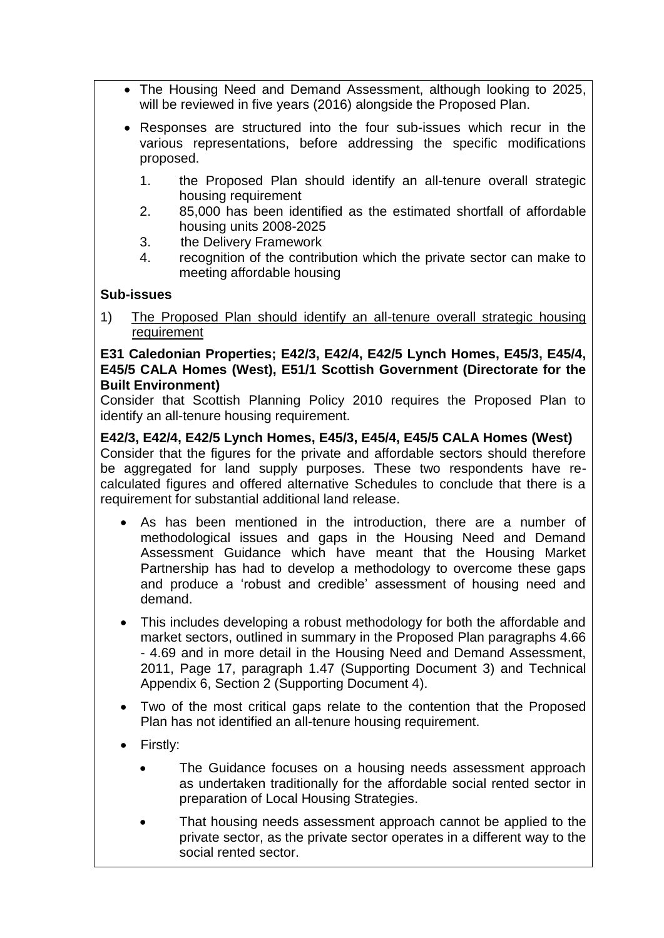- The Housing Need and Demand Assessment, although looking to 2025, will be reviewed in five years (2016) alongside the Proposed Plan.
- Responses are structured into the four sub-issues which recur in the various representations, before addressing the specific modifications proposed.
	- 1. the Proposed Plan should identify an all-tenure overall strategic housing requirement
	- 2. 85,000 has been identified as the estimated shortfall of affordable housing units 2008-2025
	- 3. the Delivery Framework
	- 4. recognition of the contribution which the private sector can make to meeting affordable housing

# **Sub-issues**

1) The Proposed Plan should identify an all-tenure overall strategic housing requirement

#### **E31 Caledonian Properties; E42/3, E42/4, E42/5 Lynch Homes, E45/3, E45/4, E45/5 CALA Homes (West), E51/1 Scottish Government (Directorate for the Built Environment)**

Consider that Scottish Planning Policy 2010 requires the Proposed Plan to identify an all-tenure housing requirement.

#### **E42/3, E42/4, E42/5 Lynch Homes, E45/3, E45/4, E45/5 CALA Homes (West)**  Consider that the figures for the private and affordable sectors should therefore

be aggregated for land supply purposes. These two respondents have recalculated figures and offered alternative Schedules to conclude that there is a requirement for substantial additional land release.

- As has been mentioned in the introduction, there are a number of methodological issues and gaps in the Housing Need and Demand Assessment Guidance which have meant that the Housing Market Partnership has had to develop a methodology to overcome these gaps and produce a "robust and credible" assessment of housing need and demand.
- This includes developing a robust methodology for both the affordable and market sectors, outlined in summary in the Proposed Plan paragraphs 4.66 - 4.69 and in more detail in the Housing Need and Demand Assessment, 2011, Page 17, paragraph 1.47 (Supporting Document 3) and Technical Appendix 6, Section 2 (Supporting Document 4).
- Two of the most critical gaps relate to the contention that the Proposed Plan has not identified an all-tenure housing requirement.
- Firstly:
	- The Guidance focuses on a housing needs assessment approach as undertaken traditionally for the affordable social rented sector in preparation of Local Housing Strategies.
	- That housing needs assessment approach cannot be applied to the private sector, as the private sector operates in a different way to the social rented sector.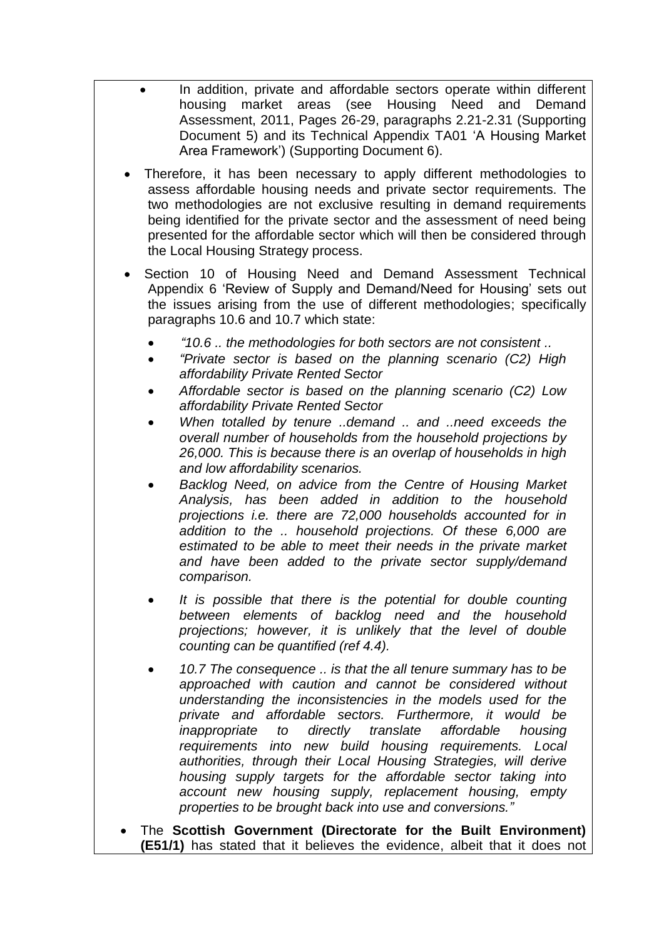- In addition, private and affordable sectors operate within different housing market areas (see Housing Need and Demand Assessment, 2011, Pages 26-29, paragraphs 2.21-2.31 (Supporting Document 5) and its Technical Appendix TA01 "A Housing Market Area Framework") (Supporting Document 6).
- Therefore, it has been necessary to apply different methodologies to assess affordable housing needs and private sector requirements. The two methodologies are not exclusive resulting in demand requirements being identified for the private sector and the assessment of need being presented for the affordable sector which will then be considered through the Local Housing Strategy process.
- Section 10 of Housing Need and Demand Assessment Technical Appendix 6 "Review of Supply and Demand/Need for Housing" sets out the issues arising from the use of different methodologies; specifically paragraphs 10.6 and 10.7 which state:
	- *"10.6 .. the methodologies for both sectors are not consistent ..*
	- *"Private sector is based on the planning scenario (C2) High affordability Private Rented Sector*
	- *Affordable sector is based on the planning scenario (C2) Low affordability Private Rented Sector*
	- *When totalled by tenure ..demand .. and ..need exceeds the overall number of households from the household projections by 26,000. This is because there is an overlap of households in high and low affordability scenarios.*
	- *Backlog Need, on advice from the Centre of Housing Market Analysis, has been added in addition to the household projections i.e. there are 72,000 households accounted for in addition to the .. household projections. Of these 6,000 are estimated to be able to meet their needs in the private market and have been added to the private sector supply/demand comparison.*
	- *It is possible that there is the potential for double counting between elements of backlog need and the household projections; however, it is unlikely that the level of double counting can be quantified (ref 4.4).*
	- *10.7 The consequence .. is that the all tenure summary has to be approached with caution and cannot be considered without understanding the inconsistencies in the models used for the private and affordable sectors. Furthermore, it would be inappropriate to directly translate affordable housing requirements into new build housing requirements. Local authorities, through their Local Housing Strategies, will derive housing supply targets for the affordable sector taking into account new housing supply, replacement housing, empty properties to be brought back into use and conversions."*
- The **Scottish Government (Directorate for the Built Environment) (E51/1)** has stated that it believes the evidence, albeit that it does not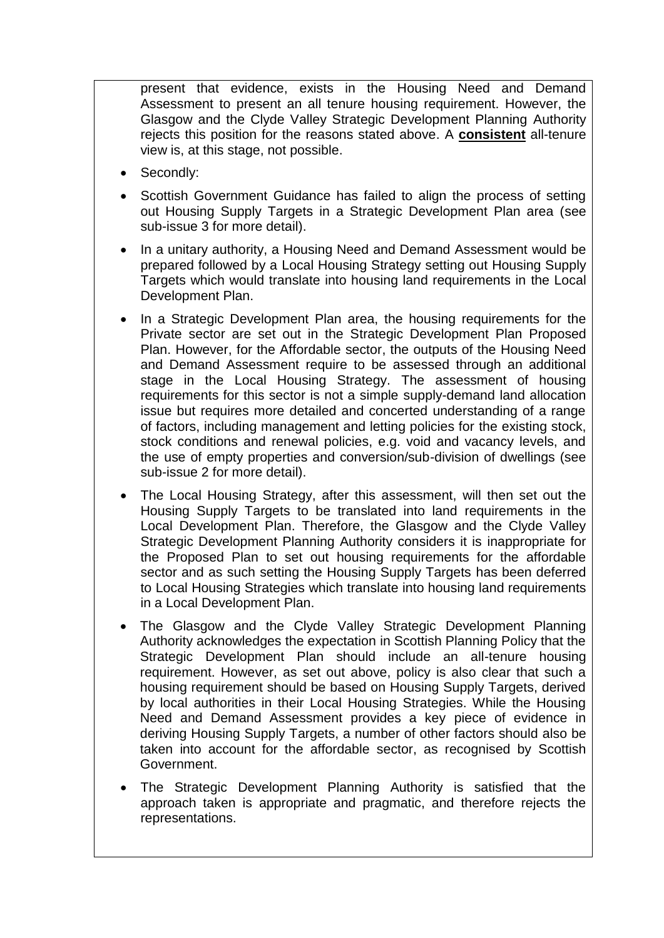present that evidence, exists in the Housing Need and Demand Assessment to present an all tenure housing requirement. However, the Glasgow and the Clyde Valley Strategic Development Planning Authority rejects this position for the reasons stated above. A **consistent** all-tenure view is, at this stage, not possible.

- Secondly:
- Scottish Government Guidance has failed to align the process of setting out Housing Supply Targets in a Strategic Development Plan area (see sub-issue 3 for more detail).
- In a unitary authority, a Housing Need and Demand Assessment would be prepared followed by a Local Housing Strategy setting out Housing Supply Targets which would translate into housing land requirements in the Local Development Plan.
- In a Strategic Development Plan area, the housing requirements for the Private sector are set out in the Strategic Development Plan Proposed Plan. However, for the Affordable sector, the outputs of the Housing Need and Demand Assessment require to be assessed through an additional stage in the Local Housing Strategy. The assessment of housing requirements for this sector is not a simple supply-demand land allocation issue but requires more detailed and concerted understanding of a range of factors, including management and letting policies for the existing stock, stock conditions and renewal policies, e.g. void and vacancy levels, and the use of empty properties and conversion/sub-division of dwellings (see sub-issue 2 for more detail).
- The Local Housing Strategy, after this assessment, will then set out the Housing Supply Targets to be translated into land requirements in the Local Development Plan. Therefore, the Glasgow and the Clyde Valley Strategic Development Planning Authority considers it is inappropriate for the Proposed Plan to set out housing requirements for the affordable sector and as such setting the Housing Supply Targets has been deferred to Local Housing Strategies which translate into housing land requirements in a Local Development Plan.
- The Glasgow and the Clyde Valley Strategic Development Planning Authority acknowledges the expectation in Scottish Planning Policy that the Strategic Development Plan should include an all-tenure housing requirement. However, as set out above, policy is also clear that such a housing requirement should be based on Housing Supply Targets, derived by local authorities in their Local Housing Strategies. While the Housing Need and Demand Assessment provides a key piece of evidence in deriving Housing Supply Targets, a number of other factors should also be taken into account for the affordable sector, as recognised by Scottish Government.
- The Strategic Development Planning Authority is satisfied that the approach taken is appropriate and pragmatic, and therefore rejects the representations.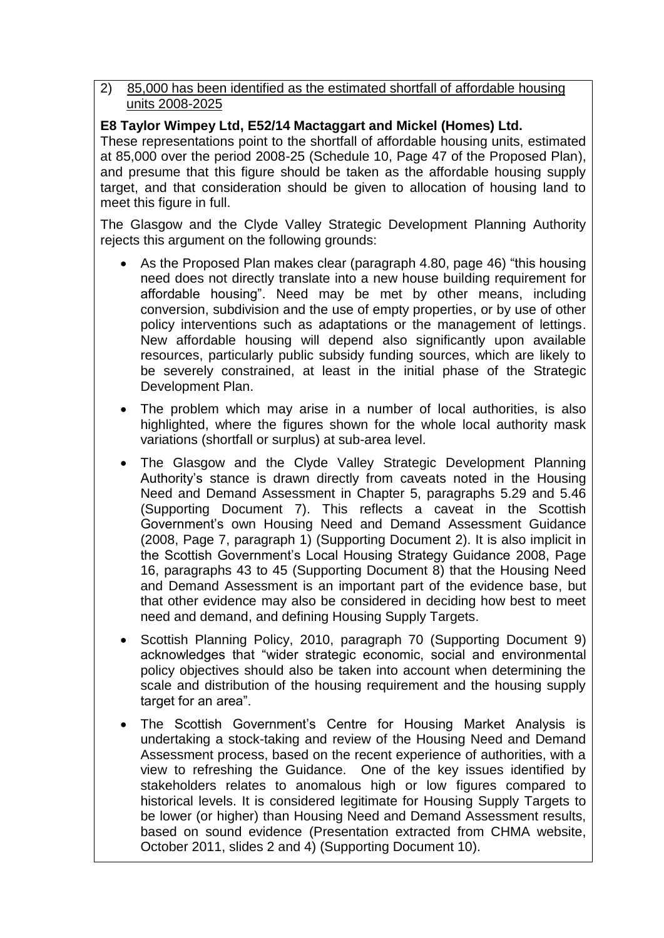#### 2) 85,000 has been identified as the estimated shortfall of affordable housing units 2008-2025

# **E8 Taylor Wimpey Ltd, E52/14 Mactaggart and Mickel (Homes) Ltd.**

These representations point to the shortfall of affordable housing units, estimated at 85,000 over the period 2008-25 (Schedule 10, Page 47 of the Proposed Plan), and presume that this figure should be taken as the affordable housing supply target, and that consideration should be given to allocation of housing land to meet this figure in full.

The Glasgow and the Clyde Valley Strategic Development Planning Authority rejects this argument on the following grounds:

- As the Proposed Plan makes clear (paragraph 4.80, page 46) "this housing need does not directly translate into a new house building requirement for affordable housing". Need may be met by other means, including conversion, subdivision and the use of empty properties, or by use of other policy interventions such as adaptations or the management of lettings. New affordable housing will depend also significantly upon available resources, particularly public subsidy funding sources, which are likely to be severely constrained, at least in the initial phase of the Strategic Development Plan.
- The problem which may arise in a number of local authorities, is also highlighted, where the figures shown for the whole local authority mask variations (shortfall or surplus) at sub-area level.
- The Glasgow and the Clyde Valley Strategic Development Planning Authority"s stance is drawn directly from caveats noted in the Housing Need and Demand Assessment in Chapter 5, paragraphs 5.29 and 5.46 (Supporting Document 7). This reflects a caveat in the Scottish Government"s own Housing Need and Demand Assessment Guidance (2008, Page 7, paragraph 1) (Supporting Document 2). It is also implicit in the Scottish Government"s Local Housing Strategy Guidance 2008, Page 16, paragraphs 43 to 45 (Supporting Document 8) that the Housing Need and Demand Assessment is an important part of the evidence base, but that other evidence may also be considered in deciding how best to meet need and demand, and defining Housing Supply Targets.
- Scottish Planning Policy, 2010, paragraph 70 (Supporting Document 9) acknowledges that "wider strategic economic, social and environmental policy objectives should also be taken into account when determining the scale and distribution of the housing requirement and the housing supply target for an area".
- The Scottish Government"s Centre for Housing Market Analysis is undertaking a stock-taking and review of the Housing Need and Demand Assessment process, based on the recent experience of authorities, with a view to refreshing the Guidance. One of the key issues identified by stakeholders relates to anomalous high or low figures compared to historical levels. It is considered legitimate for Housing Supply Targets to be lower (or higher) than Housing Need and Demand Assessment results, based on sound evidence (Presentation extracted from CHMA website, October 2011, slides 2 and 4) (Supporting Document 10).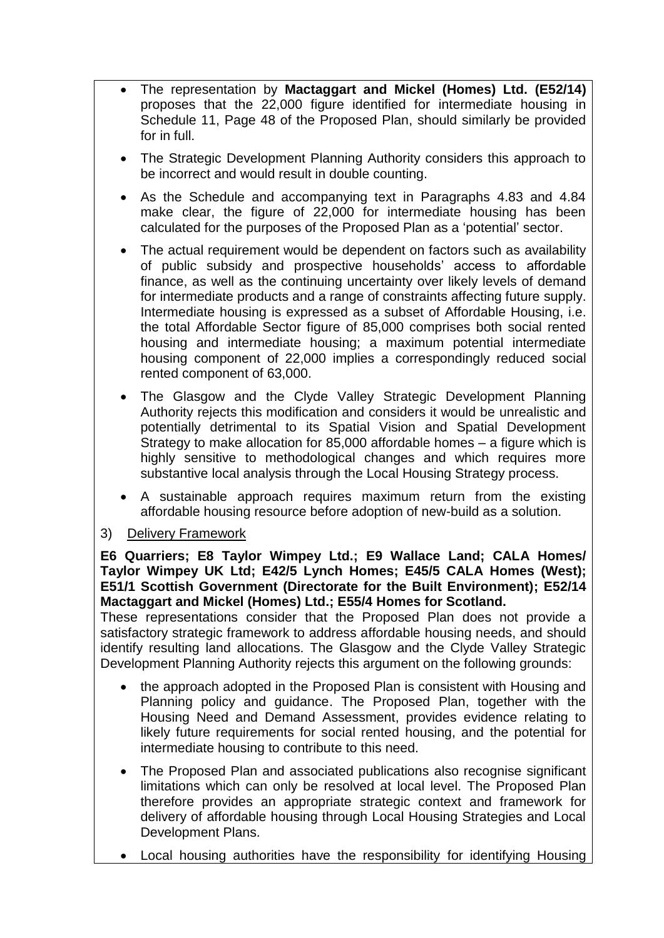- The representation by **Mactaggart and Mickel (Homes) Ltd. (E52/14)** proposes that the 22,000 figure identified for intermediate housing in Schedule 11, Page 48 of the Proposed Plan, should similarly be provided for in full.
- The Strategic Development Planning Authority considers this approach to be incorrect and would result in double counting.
- As the Schedule and accompanying text in Paragraphs 4.83 and 4.84 make clear, the figure of 22,000 for intermediate housing has been calculated for the purposes of the Proposed Plan as a "potential" sector.
- The actual requirement would be dependent on factors such as availability of public subsidy and prospective households" access to affordable finance, as well as the continuing uncertainty over likely levels of demand for intermediate products and a range of constraints affecting future supply. Intermediate housing is expressed as a subset of Affordable Housing, i.e. the total Affordable Sector figure of 85,000 comprises both social rented housing and intermediate housing; a maximum potential intermediate housing component of 22,000 implies a correspondingly reduced social rented component of 63,000.
- The Glasgow and the Clyde Valley Strategic Development Planning Authority rejects this modification and considers it would be unrealistic and potentially detrimental to its Spatial Vision and Spatial Development Strategy to make allocation for 85,000 affordable homes – a figure which is highly sensitive to methodological changes and which requires more substantive local analysis through the Local Housing Strategy process.
- A sustainable approach requires maximum return from the existing affordable housing resource before adoption of new-build as a solution.
- 3) Delivery Framework

**E6 Quarriers; E8 Taylor Wimpey Ltd.; E9 Wallace Land; CALA Homes/ Taylor Wimpey UK Ltd; E42/5 Lynch Homes; E45/5 CALA Homes (West); E51/1 Scottish Government (Directorate for the Built Environment); E52/14 Mactaggart and Mickel (Homes) Ltd.; E55/4 Homes for Scotland.**

These representations consider that the Proposed Plan does not provide a satisfactory strategic framework to address affordable housing needs, and should identify resulting land allocations. The Glasgow and the Clyde Valley Strategic Development Planning Authority rejects this argument on the following grounds:

- the approach adopted in the Proposed Plan is consistent with Housing and Planning policy and guidance. The Proposed Plan, together with the Housing Need and Demand Assessment, provides evidence relating to likely future requirements for social rented housing, and the potential for intermediate housing to contribute to this need.
- The Proposed Plan and associated publications also recognise significant limitations which can only be resolved at local level. The Proposed Plan therefore provides an appropriate strategic context and framework for delivery of affordable housing through Local Housing Strategies and Local Development Plans.
- Local housing authorities have the responsibility for identifying Housing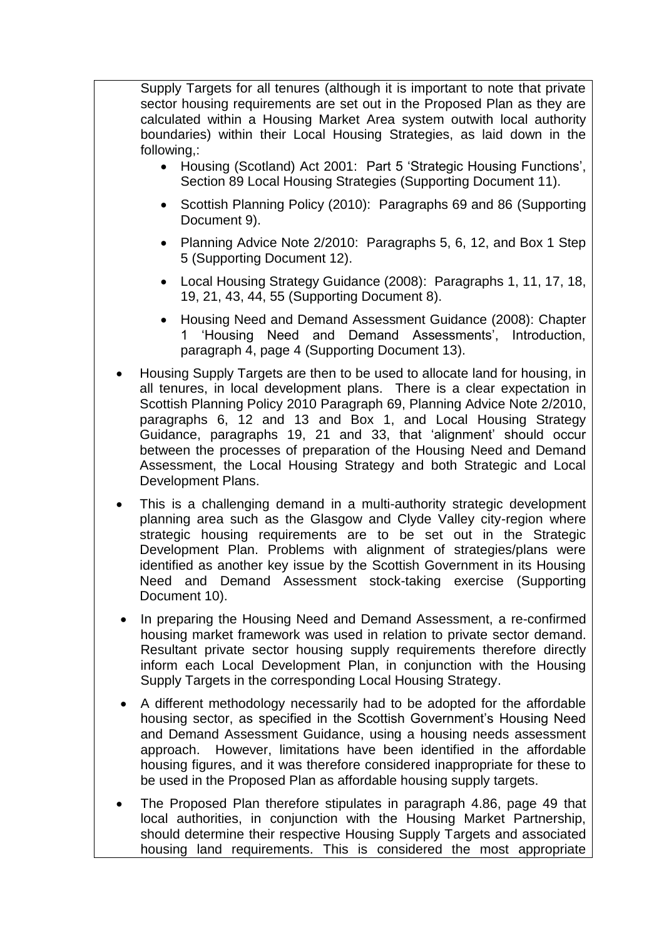Supply Targets for all tenures (although it is important to note that private sector housing requirements are set out in the Proposed Plan as they are calculated within a Housing Market Area system outwith local authority boundaries) within their Local Housing Strategies, as laid down in the following,:

- Housing (Scotland) Act 2001: Part 5 'Strategic Housing Functions', Section 89 Local Housing Strategies (Supporting Document 11).
- Scottish Planning Policy (2010): Paragraphs 69 and 86 (Supporting Document 9).
- Planning Advice Note 2/2010: Paragraphs 5, 6, 12, and Box 1 Step 5 (Supporting Document 12).
- Local Housing Strategy Guidance (2008): Paragraphs 1, 11, 17, 18, 19, 21, 43, 44, 55 (Supporting Document 8).
- Housing Need and Demand Assessment Guidance (2008): Chapter 1 'Housing Need and Demand Assessments', Introduction, paragraph 4, page 4 (Supporting Document 13).
- Housing Supply Targets are then to be used to allocate land for housing, in all tenures, in local development plans. There is a clear expectation in Scottish Planning Policy 2010 Paragraph 69, Planning Advice Note 2/2010, paragraphs 6, 12 and 13 and Box 1, and Local Housing Strategy Guidance, paragraphs 19, 21 and 33, that "alignment" should occur between the processes of preparation of the Housing Need and Demand Assessment, the Local Housing Strategy and both Strategic and Local Development Plans.
- This is a challenging demand in a multi-authority strategic development planning area such as the Glasgow and Clyde Valley city-region where strategic housing requirements are to be set out in the Strategic Development Plan. Problems with alignment of strategies/plans were identified as another key issue by the Scottish Government in its Housing Need and Demand Assessment stock-taking exercise (Supporting Document 10).
- In preparing the Housing Need and Demand Assessment, a re-confirmed housing market framework was used in relation to private sector demand. Resultant private sector housing supply requirements therefore directly inform each Local Development Plan, in conjunction with the Housing Supply Targets in the corresponding Local Housing Strategy.
- A different methodology necessarily had to be adopted for the affordable housing sector, as specified in the Scottish Government"s Housing Need and Demand Assessment Guidance, using a housing needs assessment approach. However, limitations have been identified in the affordable housing figures, and it was therefore considered inappropriate for these to be used in the Proposed Plan as affordable housing supply targets.
- The Proposed Plan therefore stipulates in paragraph 4.86, page 49 that local authorities, in conjunction with the Housing Market Partnership, should determine their respective Housing Supply Targets and associated housing land requirements. This is considered the most appropriate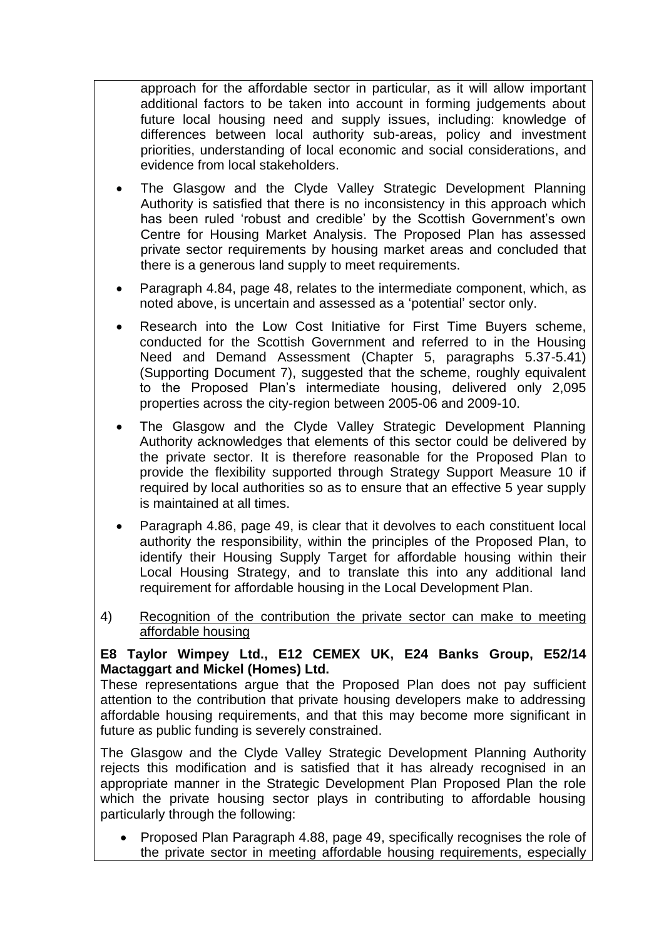approach for the affordable sector in particular, as it will allow important additional factors to be taken into account in forming judgements about future local housing need and supply issues, including: knowledge of differences between local authority sub-areas, policy and investment priorities, understanding of local economic and social considerations, and evidence from local stakeholders.

- The Glasgow and the Clyde Valley Strategic Development Planning Authority is satisfied that there is no inconsistency in this approach which has been ruled 'robust and credible' by the Scottish Government's own Centre for Housing Market Analysis. The Proposed Plan has assessed private sector requirements by housing market areas and concluded that there is a generous land supply to meet requirements.
- Paragraph 4.84, page 48, relates to the intermediate component, which, as noted above, is uncertain and assessed as a "potential" sector only.
- Research into the Low Cost Initiative for First Time Buyers scheme, conducted for the Scottish Government and referred to in the Housing Need and Demand Assessment (Chapter 5, paragraphs 5.37-5.41) (Supporting Document 7), suggested that the scheme, roughly equivalent to the Proposed Plan"s intermediate housing, delivered only 2,095 properties across the city-region between 2005-06 and 2009-10.
- The Glasgow and the Clyde Valley Strategic Development Planning Authority acknowledges that elements of this sector could be delivered by the private sector. It is therefore reasonable for the Proposed Plan to provide the flexibility supported through Strategy Support Measure 10 if required by local authorities so as to ensure that an effective 5 year supply is maintained at all times.
- Paragraph 4.86, page 49, is clear that it devolves to each constituent local authority the responsibility, within the principles of the Proposed Plan, to identify their Housing Supply Target for affordable housing within their Local Housing Strategy, and to translate this into any additional land requirement for affordable housing in the Local Development Plan.
- 4)Recognition of the contribution the private sector can make to meeting affordable housing

# **E8 Taylor Wimpey Ltd., E12 CEMEX UK, E24 Banks Group, E52/14 Mactaggart and Mickel (Homes) Ltd.**

These representations argue that the Proposed Plan does not pay sufficient attention to the contribution that private housing developers make to addressing affordable housing requirements, and that this may become more significant in future as public funding is severely constrained.

The Glasgow and the Clyde Valley Strategic Development Planning Authority rejects this modification and is satisfied that it has already recognised in an appropriate manner in the Strategic Development Plan Proposed Plan the role which the private housing sector plays in contributing to affordable housing particularly through the following:

 Proposed Plan Paragraph 4.88, page 49, specifically recognises the role of the private sector in meeting affordable housing requirements, especially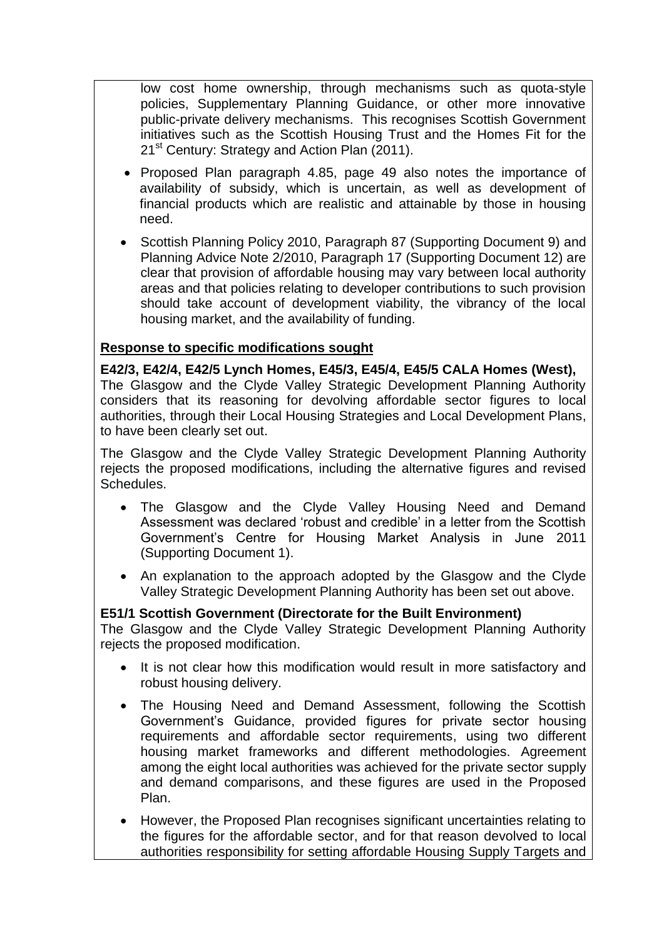low cost home ownership, through mechanisms such as quota-style policies, Supplementary Planning Guidance, or other more innovative public-private delivery mechanisms. This recognises Scottish Government initiatives such as the Scottish Housing Trust and the Homes Fit for the 21<sup>st</sup> Century: Strategy and Action Plan (2011).

- Proposed Plan paragraph 4.85, page 49 also notes the importance of availability of subsidy, which is uncertain, as well as development of financial products which are realistic and attainable by those in housing need.
- Scottish Planning Policy 2010, Paragraph 87 (Supporting Document 9) and Planning Advice Note 2/2010, Paragraph 17 (Supporting Document 12) are clear that provision of affordable housing may vary between local authority areas and that policies relating to developer contributions to such provision should take account of development viability, the vibrancy of the local housing market, and the availability of funding.

#### **Response to specific modifications sought**

**E42/3, E42/4, E42/5 Lynch Homes, E45/3, E45/4, E45/5 CALA Homes (West),**  The Glasgow and the Clyde Valley Strategic Development Planning Authority considers that its reasoning for devolving affordable sector figures to local authorities, through their Local Housing Strategies and Local Development Plans, to have been clearly set out.

The Glasgow and the Clyde Valley Strategic Development Planning Authority rejects the proposed modifications, including the alternative figures and revised Schedules.

- The Glasgow and the Clyde Valley Housing Need and Demand Assessment was declared "robust and credible" in a letter from the Scottish Government"s Centre for Housing Market Analysis in June 2011 (Supporting Document 1).
- An explanation to the approach adopted by the Glasgow and the Clyde Valley Strategic Development Planning Authority has been set out above.

#### **E51/1 Scottish Government (Directorate for the Built Environment)**

The Glasgow and the Clyde Valley Strategic Development Planning Authority rejects the proposed modification.

- It is not clear how this modification would result in more satisfactory and robust housing delivery.
- The Housing Need and Demand Assessment, following the Scottish Government"s Guidance, provided figures for private sector housing requirements and affordable sector requirements, using two different housing market frameworks and different methodologies. Agreement among the eight local authorities was achieved for the private sector supply and demand comparisons, and these figures are used in the Proposed Plan.
- However, the Proposed Plan recognises significant uncertainties relating to the figures for the affordable sector, and for that reason devolved to local authorities responsibility for setting affordable Housing Supply Targets and